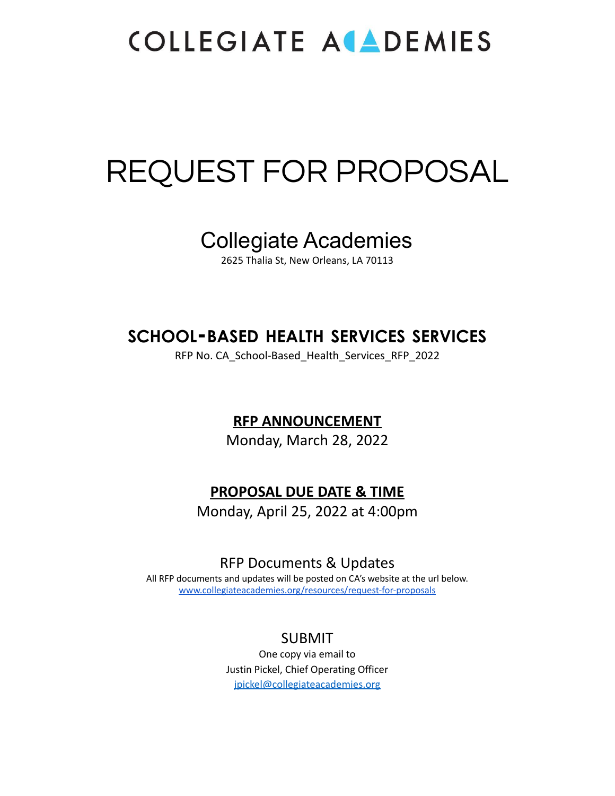# REQUEST FOR PROPOSAL

## Collegiate Academies

2625 Thalia St, New Orleans, LA 70113

### **SCHOOL-BASED HEALTH SERVICES SERVICES**

RFP No. CA\_School-Based\_Health\_Services\_RFP\_2022

### **RFP ANNOUNCEMENT**

Monday, March 28, 2022

### **PROPOSAL DUE DATE & TIME**

Monday, April 25, 2022 at 4:00pm

### RFP Documents & Updates

All RFP documents and updates will be posted on CA's website at the url below. [www.collegiateacademies.org/resources/request-for-proposals](http://www.collegiateacademies.org/resources/request-for-proposals)

### SUBMIT

One copy via email to Justin Pickel, Chief Operating Officer [jpickel@collegiateacademies.org](mailto:jpickel@collegiateacademies.org)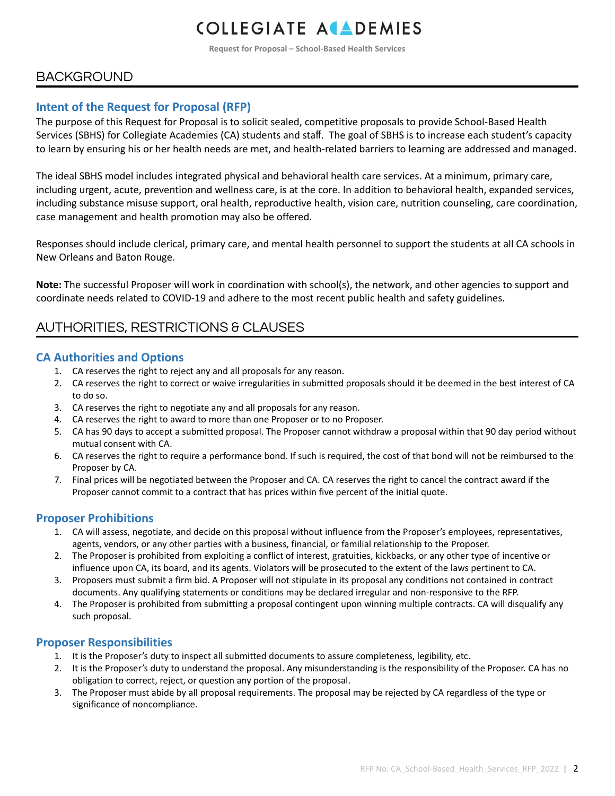**Request for Proposal – School-Based Health Services**

### **BACKGROUND**

#### **Intent of the Request for Proposal (RFP)**

The purpose of this Request for Proposal is to solicit sealed, competitive proposals to provide School-Based Health Services (SBHS) for Collegiate Academies (CA) students and staff. The goal of SBHS is to increase each student's capacity to learn by ensuring his or her health needs are met, and health-related barriers to learning are addressed and managed.

The ideal SBHS model includes integrated physical and behavioral health care services. At a minimum, primary care, including urgent, acute, prevention and wellness care, is at the core. In addition to behavioral health, expanded services, including substance misuse support, oral health, reproductive health, vision care, nutrition counseling, care coordination, case management and health promotion may also be offered.

Responses should include clerical, primary care, and mental health personnel to support the students at all CA schools in New Orleans and Baton Rouge.

**Note:** The successful Proposer will work in coordination with school(s), the network, and other agencies to support and coordinate needs related to COVID-19 and adhere to the most recent public health and safety guidelines.

### AUTHORITIES, RESTRICTIONS & CLAUSES

#### **CA Authorities and Options**

- 1. CA reserves the right to reject any and all proposals for any reason.
- 2. CA reserves the right to correct or waive irregularities in submitted proposals should it be deemed in the best interest of CA to do so.
- 3. CA reserves the right to negotiate any and all proposals for any reason.
- 4. CA reserves the right to award to more than one Proposer or to no Proposer.
- 5. CA has 90 days to accept a submitted proposal. The Proposer cannot withdraw a proposal within that 90 day period without mutual consent with CA.
- 6. CA reserves the right to require a performance bond. If such is required, the cost of that bond will not be reimbursed to the Proposer by CA.
- 7. Final prices will be negotiated between the Proposer and CA. CA reserves the right to cancel the contract award if the Proposer cannot commit to a contract that has prices within five percent of the initial quote.

#### **Proposer Prohibitions**

- 1. CA will assess, negotiate, and decide on this proposal without influence from the Proposer's employees, representatives, agents, vendors, or any other parties with a business, financial, or familial relationship to the Proposer.
- 2. The Proposer is prohibited from exploiting a conflict of interest, gratuities, kickbacks, or any other type of incentive or influence upon CA, its board, and its agents. Violators will be prosecuted to the extent of the laws pertinent to CA.
- 3. Proposers must submit a firm bid. A Proposer will not stipulate in its proposal any conditions not contained in contract documents. Any qualifying statements or conditions may be declared irregular and non-responsive to the RFP.
- 4. The Proposer is prohibited from submitting a proposal contingent upon winning multiple contracts. CA will disqualify any such proposal.

#### **Proposer Responsibilities**

- 1. It is the Proposer's duty to inspect all submitted documents to assure completeness, legibility, etc.
- 2. It is the Proposer's duty to understand the proposal. Any misunderstanding is the responsibility of the Proposer. CA has no obligation to correct, reject, or question any portion of the proposal.
- 3. The Proposer must abide by all proposal requirements. The proposal may be rejected by CA regardless of the type or significance of noncompliance.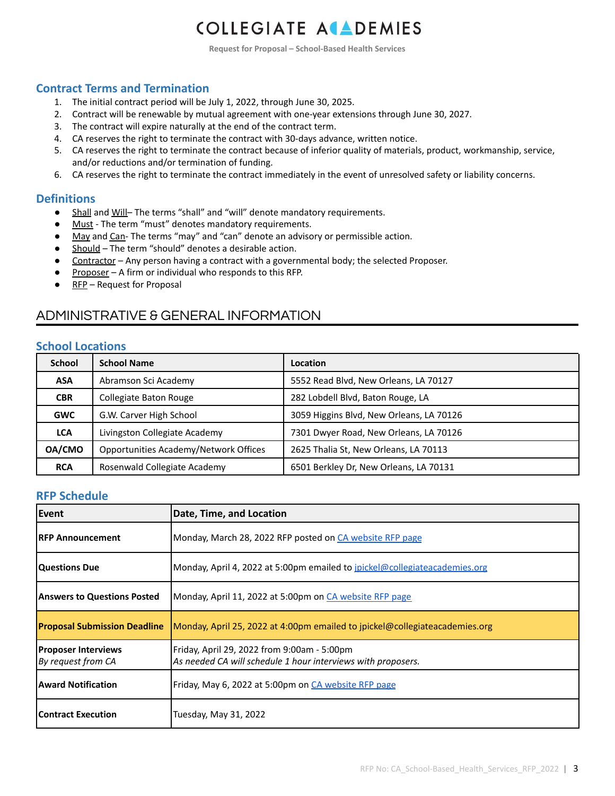**Request for Proposal – School-Based Health Services**

#### **Contract Terms and Termination**

- 1. The initial contract period will be July 1, 2022, through June 30, 2025.
- 2. Contract will be renewable by mutual agreement with one-year extensions through June 30, 2027.
- 3. The contract will expire naturally at the end of the contract term.
- 4. CA reserves the right to terminate the contract with 30-days advance, written notice.
- 5. CA reserves the right to terminate the contract because of inferior quality of materials, product, workmanship, service, and/or reductions and/or termination of funding.
- 6. CA reserves the right to terminate the contract immediately in the event of unresolved safety or liability concerns.

#### **Definitions**

- Shall and Will-The terms "shall" and "will" denote mandatory requirements.
- Must The term "must" denotes mandatory requirements.
- May and Can- The terms "may" and "can" denote an advisory or permissible action.
- Should The term "should" denotes a desirable action.
- **•** Contractor Any person having a contract with a governmental body; the selected Proposer.
- Proposer A firm or individual who responds to this RFP.
- $\bullet$  RFP Request for Proposal

### ADMINISTRATIVE & GENERAL INFORMATION

#### **School Locations**

| <b>School</b> | <b>School Name</b>                    | Location                                 |
|---------------|---------------------------------------|------------------------------------------|
| ASA           | Abramson Sci Academy                  | 5552 Read Blvd, New Orleans, LA 70127    |
| <b>CBR</b>    | Collegiate Baton Rouge                | 282 Lobdell Blvd, Baton Rouge, LA        |
| <b>GWC</b>    | G.W. Carver High School               | 3059 Higgins Blvd, New Orleans, LA 70126 |
| <b>LCA</b>    | Livingston Collegiate Academy         | 7301 Dwyer Road, New Orleans, LA 70126   |
| OA/CMO        | Opportunities Academy/Network Offices | 2625 Thalia St, New Orleans, LA 70113    |
| <b>RCA</b>    | Rosenwald Collegiate Academy          | 6501 Berkley Dr, New Orleans, LA 70131   |

#### **RFP Schedule**

| Event                                            | Date, Time, and Location                                                                                    |
|--------------------------------------------------|-------------------------------------------------------------------------------------------------------------|
| IRFP Announcement                                | Monday, March 28, 2022 RFP posted on CA website RFP page                                                    |
| <b>Questions Due</b>                             | Monday, April 4, 2022 at 5:00pm emailed to jpickel@collegiateacademies.org                                  |
| Answers to Questions Posted                      | Monday, April 11, 2022 at 5:00pm on CA website RFP page                                                     |
| <b>Proposal Submission Deadline</b>              | Monday, April 25, 2022 at 4:00pm emailed to jpickel@collegiateacademies.org                                 |
| <b>Proposer Interviews</b><br>By request from CA | Friday, April 29, 2022 from 9:00am - 5:00pm<br>As needed CA will schedule 1 hour interviews with proposers. |
| <b>Award Notification</b>                        | Friday, May 6, 2022 at 5:00pm on CA website RFP page                                                        |
| <b>Contract Execution</b>                        | Tuesday, May 31, 2022                                                                                       |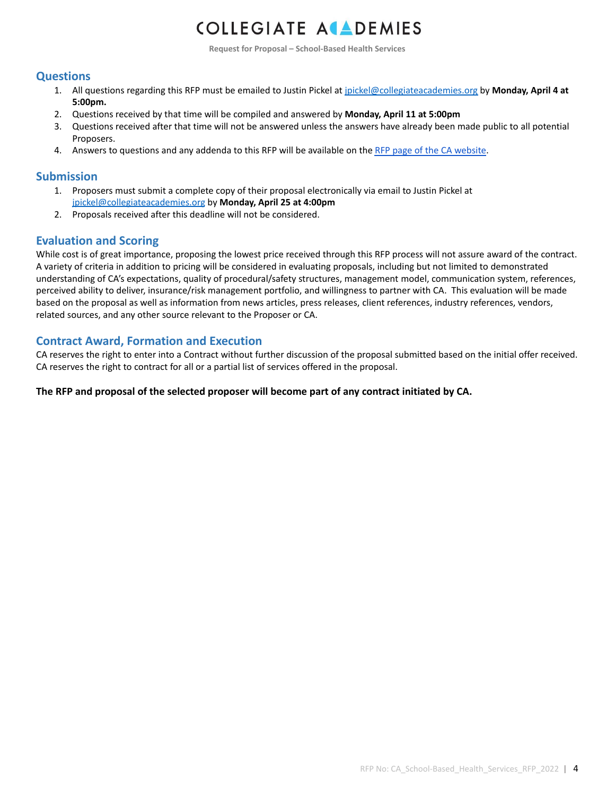**Request for Proposal – School-Based Health Services**

#### **Questions**

- 1. All questions regarding this RFP must be emailed to Justin Pickel at [jpickel@collegiateacademies.org](mailto:jpickel@collegiateacademies.org) by **Monday, April 4 at 5:00pm.**
- 2. Questions received by that time will be compiled and answered by **Monday, April 11 at 5:00pm**
- 3. Questions received after that time will not be answered unless the answers have already been made public to all potential Proposers.
- 4. Answers to questions and any addenda to this RFP will be available on the RFP page of the CA [website](https://www.collegiateacademies.org/resources/request-for-proposals).

#### **Submission**

- 1. Proposers must submit a complete copy of their proposal electronically via email to Justin Pickel at [jpickel@collegiateacademies.org](mailto:jpickel@collegiateacademies.org) by **Monday, April 25 at 4:00pm**
- 2. Proposals received after this deadline will not be considered.

#### **Evaluation and Scoring**

While cost is of great importance, proposing the lowest price received through this RFP process will not assure award of the contract. A variety of criteria in addition to pricing will be considered in evaluating proposals, including but not limited to demonstrated understanding of CA's expectations, quality of procedural/safety structures, management model, communication system, references, perceived ability to deliver, insurance/risk management portfolio, and willingness to partner with CA. This evaluation will be made based on the proposal as well as information from news articles, press releases, client references, industry references, vendors, related sources, and any other source relevant to the Proposer or CA.

#### **Contract Award, Formation and Execution**

CA reserves the right to enter into a Contract without further discussion of the proposal submitted based on the initial offer received. CA reserves the right to contract for all or a partial list of services offered in the proposal.

#### **The RFP and proposal of the selected proposer will become part of any contract initiated by CA.**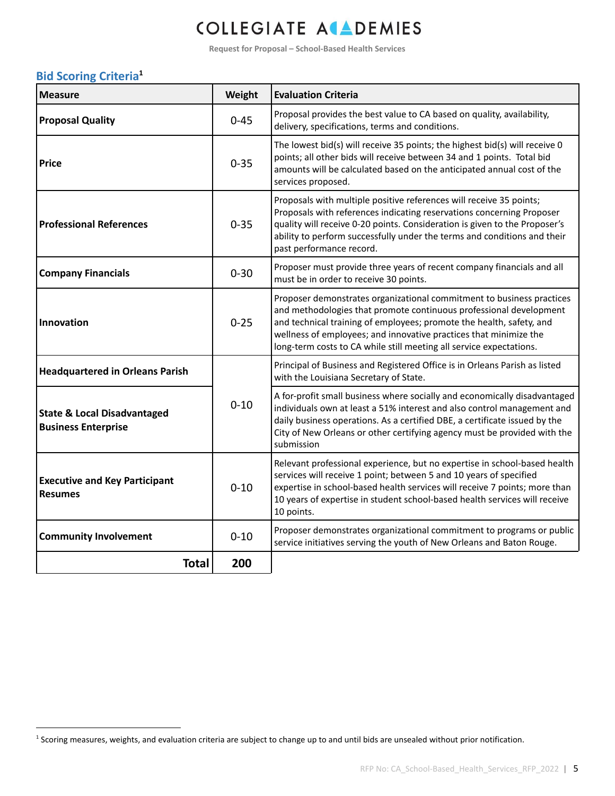**Request for Proposal – School-Based Health Services**

#### **Bid Scoring Criteria 1**

| <b>Measure</b>                                                       | Weight   | <b>Evaluation Criteria</b>                                                                                                                                                                                                                                                                                                                                      |
|----------------------------------------------------------------------|----------|-----------------------------------------------------------------------------------------------------------------------------------------------------------------------------------------------------------------------------------------------------------------------------------------------------------------------------------------------------------------|
| <b>Proposal Quality</b>                                              | $0 - 45$ | Proposal provides the best value to CA based on quality, availability,<br>delivery, specifications, terms and conditions.                                                                                                                                                                                                                                       |
| <b>Price</b>                                                         | $0 - 35$ | The lowest bid(s) will receive 35 points; the highest bid(s) will receive 0<br>points; all other bids will receive between 34 and 1 points. Total bid<br>amounts will be calculated based on the anticipated annual cost of the<br>services proposed.                                                                                                           |
| <b>Professional References</b>                                       | $0 - 35$ | Proposals with multiple positive references will receive 35 points;<br>Proposals with references indicating reservations concerning Proposer<br>quality will receive 0-20 points. Consideration is given to the Proposer's<br>ability to perform successfully under the terms and conditions and their<br>past performance record.                              |
| <b>Company Financials</b>                                            | $0 - 30$ | Proposer must provide three years of recent company financials and all<br>must be in order to receive 30 points.                                                                                                                                                                                                                                                |
| Innovation                                                           | $0 - 25$ | Proposer demonstrates organizational commitment to business practices<br>and methodologies that promote continuous professional development<br>and technical training of employees; promote the health, safety, and<br>wellness of employees; and innovative practices that minimize the<br>long-term costs to CA while still meeting all service expectations. |
| <b>Headquartered in Orleans Parish</b>                               |          | Principal of Business and Registered Office is in Orleans Parish as listed<br>with the Louisiana Secretary of State.                                                                                                                                                                                                                                            |
| <b>State &amp; Local Disadvantaged</b><br><b>Business Enterprise</b> | $0 - 10$ | A for-profit small business where socially and economically disadvantaged<br>individuals own at least a 51% interest and also control management and<br>daily business operations. As a certified DBE, a certificate issued by the<br>City of New Orleans or other certifying agency must be provided with the<br>submission                                    |
| <b>Executive and Key Participant</b><br><b>Resumes</b>               | $0 - 10$ | Relevant professional experience, but no expertise in school-based health<br>services will receive 1 point; between 5 and 10 years of specified<br>expertise in school-based health services will receive 7 points; more than<br>10 years of expertise in student school-based health services will receive<br>10 points.                                       |
| <b>Community Involvement</b>                                         | $0 - 10$ | Proposer demonstrates organizational commitment to programs or public<br>service initiatives serving the youth of New Orleans and Baton Rouge.                                                                                                                                                                                                                  |
| <b>Total</b>                                                         | 200      |                                                                                                                                                                                                                                                                                                                                                                 |

<sup>&</sup>lt;sup>1</sup> Scoring measures, weights, and evaluation criteria are subject to change up to and until bids are unsealed without prior notification.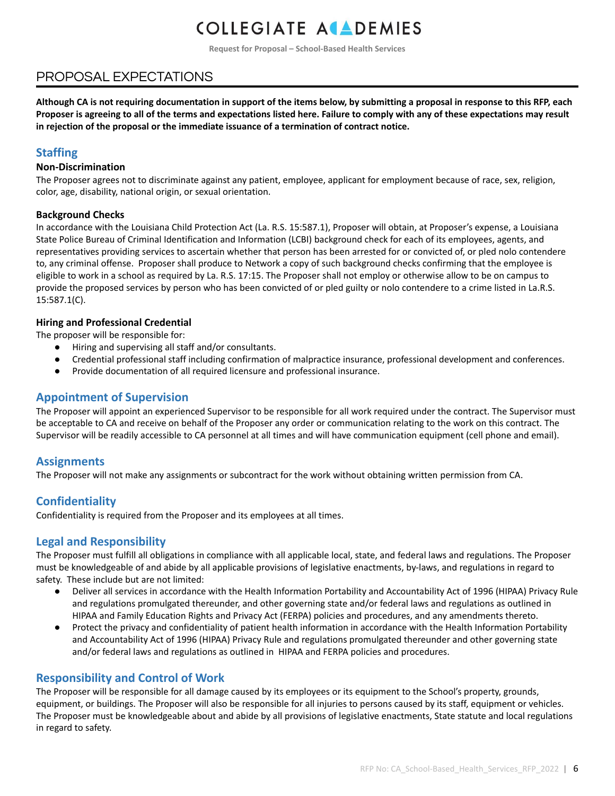**Request for Proposal – School-Based Health Services**

### PROPOSAL EXPECTATIONS

Although CA is not requiring documentation in support of the items below, by submitting a proposal in response to this RFP, each Proposer is agreeing to all of the terms and expectations listed here. Failure to comply with any of these expectations may result **in rejection of the proposal or the immediate issuance of a termination of contract notice.**

#### **Staffing**

#### **Non-Discrimination**

The Proposer agrees not to discriminate against any patient, employee, applicant for employment because of race, sex, religion, color, age, disability, national origin, or sexual orientation.

#### **Background Checks**

In accordance with the Louisiana Child Protection Act (La. R.S. 15:587.1), Proposer will obtain, at Proposer's expense, a Louisiana State Police Bureau of Criminal Identification and Information (LCBI) background check for each of its employees, agents, and representatives providing services to ascertain whether that person has been arrested for or convicted of, or pled nolo contendere to, any criminal offense. Proposer shall produce to Network a copy of such background checks confirming that the employee is eligible to work in a school as required by La. R.S. 17:15. The Proposer shall not employ or otherwise allow to be on campus to provide the proposed services by person who has been convicted of or pled guilty or nolo contendere to a crime listed in La.R.S. 15:587.1(C).

#### **Hiring and Professional Credential**

The proposer will be responsible for:

- Hiring and supervising all staff and/or consultants.
- Credential professional staff including confirmation of malpractice insurance, professional development and conferences.
- Provide documentation of all required licensure and professional insurance.

#### **Appointment of Supervision**

The Proposer will appoint an experienced Supervisor to be responsible for all work required under the contract. The Supervisor must be acceptable to CA and receive on behalf of the Proposer any order or communication relating to the work on this contract. The Supervisor will be readily accessible to CA personnel at all times and will have communication equipment (cell phone and email).

#### **Assignments**

The Proposer will not make any assignments or subcontract for the work without obtaining written permission from CA.

#### **Confidentiality**

Confidentiality is required from the Proposer and its employees at all times.

#### **Legal and Responsibility**

The Proposer must fulfill all obligations in compliance with all applicable local, state, and federal laws and regulations. The Proposer must be knowledgeable of and abide by all applicable provisions of legislative enactments, by-laws, and regulations in regard to safety. These include but are not limited:

- Deliver all services in accordance with the Health Information Portability and Accountability Act of 1996 (HIPAA) Privacy Rule and regulations promulgated thereunder, and other governing state and/or federal laws and regulations as outlined in HIPAA and Family Education Rights and Privacy Act (FERPA) policies and procedures, and any amendments thereto.
- Protect the privacy and confidentiality of patient health information in accordance with the Health Information Portability and Accountability Act of 1996 (HIPAA) Privacy Rule and regulations promulgated thereunder and other governing state and/or federal laws and regulations as outlined in HIPAA and FERPA policies and procedures.

#### **Responsibility and Control of Work**

The Proposer will be responsible for all damage caused by its employees or its equipment to the School's property, grounds, equipment, or buildings. The Proposer will also be responsible for all injuries to persons caused by its staff, equipment or vehicles. The Proposer must be knowledgeable about and abide by all provisions of legislative enactments, State statute and local regulations in regard to safety.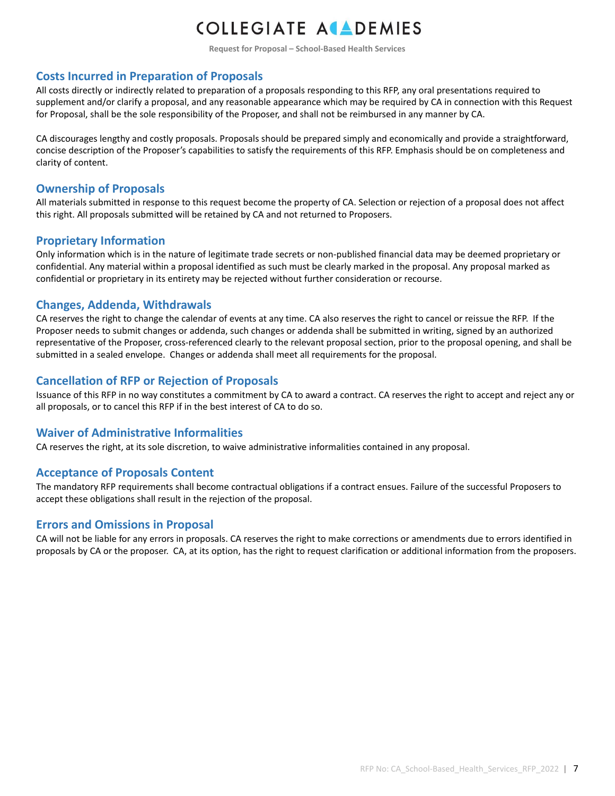**Request for Proposal – School-Based Health Services**

#### **Costs Incurred in Preparation of Proposals**

All costs directly or indirectly related to preparation of a proposals responding to this RFP, any oral presentations required to supplement and/or clarify a proposal, and any reasonable appearance which may be required by CA in connection with this Request for Proposal, shall be the sole responsibility of the Proposer, and shall not be reimbursed in any manner by CA.

CA discourages lengthy and costly proposals. Proposals should be prepared simply and economically and provide a straightforward, concise description of the Proposer's capabilities to satisfy the requirements of this RFP. Emphasis should be on completeness and clarity of content.

#### **Ownership of Proposals**

All materials submitted in response to this request become the property of CA. Selection or rejection of a proposal does not affect this right. All proposals submitted will be retained by CA and not returned to Proposers.

#### **Proprietary Information**

Only information which is in the nature of legitimate trade secrets or non-published financial data may be deemed proprietary or confidential. Any material within a proposal identified as such must be clearly marked in the proposal. Any proposal marked as confidential or proprietary in its entirety may be rejected without further consideration or recourse.

#### **Changes, Addenda, Withdrawals**

CA reserves the right to change the calendar of events at any time. CA also reserves the right to cancel or reissue the RFP. If the Proposer needs to submit changes or addenda, such changes or addenda shall be submitted in writing, signed by an authorized representative of the Proposer, cross-referenced clearly to the relevant proposal section, prior to the proposal opening, and shall be submitted in a sealed envelope. Changes or addenda shall meet all requirements for the proposal.

#### **Cancellation of RFP or Rejection of Proposals**

Issuance of this RFP in no way constitutes a commitment by CA to award a contract. CA reserves the right to accept and reject any or all proposals, or to cancel this RFP if in the best interest of CA to do so.

#### **Waiver of Administrative Informalities**

CA reserves the right, at its sole discretion, to waive administrative informalities contained in any proposal.

#### **Acceptance of Proposals Content**

The mandatory RFP requirements shall become contractual obligations if a contract ensues. Failure of the successful Proposers to accept these obligations shall result in the rejection of the proposal.

#### **Errors and Omissions in Proposal**

CA will not be liable for any errors in proposals. CA reserves the right to make corrections or amendments due to errors identified in proposals by CA or the proposer. CA, at its option, has the right to request clarification or additional information from the proposers.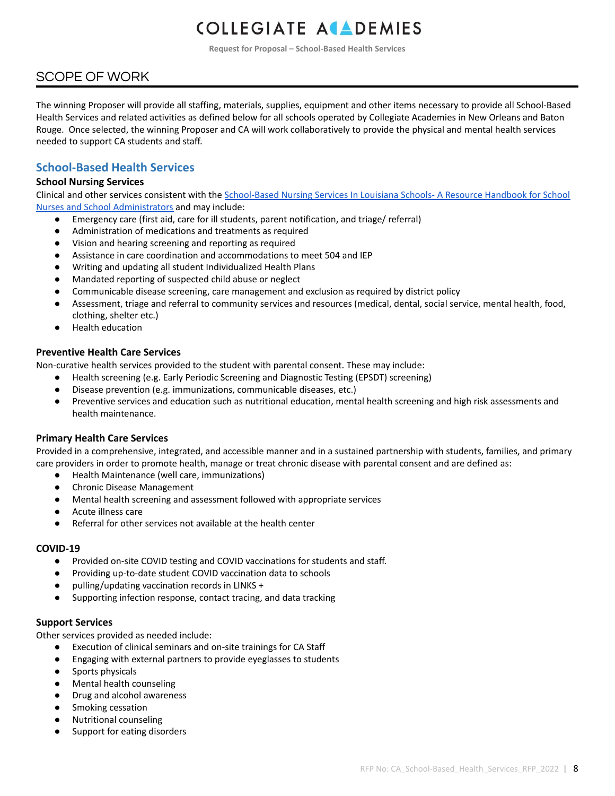**Request for Proposal – School-Based Health Services**

### SCOPE OF WORK

The winning Proposer will provide all staffing, materials, supplies, equipment and other items necessary to provide all School-Based Health Services and related activities as defined below for all schools operated by Collegiate Academies in New Orleans and Baton Rouge. Once selected, the winning Proposer and CA will work collaboratively to provide the physical and mental health services needed to support CA students and staff.

#### **School-Based Health Services**

#### **School Nursing Services**

Clinical and other services consistent with the [School-Based](https://louisianabelieves.com/docs/default-source/public-school/school-based-nursing-services.pdf?sfvrsn=6d80801f_14) Nursing Services In Louisiana Schools- A Resource Handbook for School Nurses and School [Administrators](https://louisianabelieves.com/docs/default-source/public-school/school-based-nursing-services.pdf?sfvrsn=6d80801f_14) and may include:

- Emergency care (first aid, care for ill students, parent notification, and triage/ referral)
- Administration of medications and treatments as required
- Vision and hearing screening and reporting as required
- Assistance in care coordination and accommodations to meet 504 and IEP
- Writing and updating all student Individualized Health Plans
- Mandated reporting of suspected child abuse or neglect
- Communicable disease screening, care management and exclusion as required by district policy
- Assessment, triage and referral to community services and resources (medical, dental, social service, mental health, food, clothing, shelter etc.)
- Health education

#### **Preventive Health Care Services**

Non-curative health services provided to the student with parental consent. These may include:

- Health screening (e.g. Early Periodic Screening and Diagnostic Testing (EPSDT) screening)
- Disease prevention (e.g. immunizations, communicable diseases, etc.)
- Preventive services and education such as nutritional education, mental health screening and high risk assessments and health maintenance.

#### **Primary Health Care Services**

Provided in a comprehensive, integrated, and accessible manner and in a sustained partnership with students, families, and primary care providers in order to promote health, manage or treat chronic disease with parental consent and are defined as:

- Health Maintenance (well care, immunizations)
- **Chronic Disease Management**
- Mental health screening and assessment followed with appropriate services
- Acute illness care
- Referral for other services not available at the health center

#### **COVID-19**

- Provided on-site COVID testing and COVID vaccinations for students and staff.
- Providing up-to-date student COVID vaccination data to schools
- pulling/updating vaccination records in LINKS +
- Supporting infection response, contact tracing, and data tracking

#### **Support Services**

Other services provided as needed include:

- Execution of clinical seminars and on-site trainings for CA Staff
- Engaging with external partners to provide eyeglasses to students
- Sports physicals
- Mental health counseling
- Drug and alcohol awareness
- Smoking cessation
- **Nutritional counseling**
- Support for eating disorders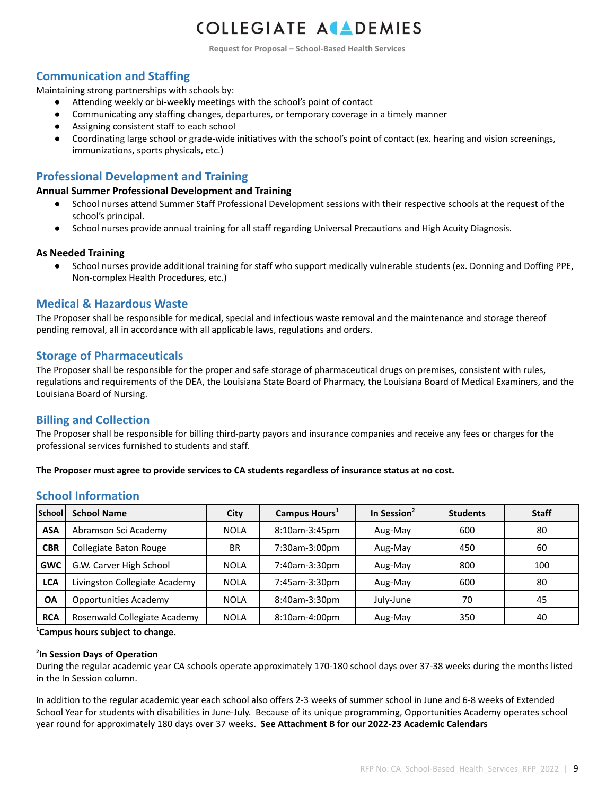**Request for Proposal – School-Based Health Services**

#### **Communication and Staffing**

Maintaining strong partnerships with schools by:

- Attending weekly or bi-weekly meetings with the school's point of contact
- Communicating any staffing changes, departures, or temporary coverage in a timely manner
- Assigning consistent staff to each school
- Coordinating large school or grade-wide initiatives with the school's point of contact (ex. hearing and vision screenings, immunizations, sports physicals, etc.)

#### **Professional Development and Training**

#### **Annual Summer Professional Development and Training**

- School nurses attend Summer Staff Professional Development sessions with their respective schools at the request of the school's principal.
- School nurses provide annual training for all staff regarding Universal Precautions and High Acuity Diagnosis.

#### **As Needed Training**

● School nurses provide additional training for staff who support medically vulnerable students (ex. Donning and Doffing PPE, Non-complex Health Procedures, etc.)

#### **Medical & Hazardous Waste**

The Proposer shall be responsible for medical, special and infectious waste removal and the maintenance and storage thereof pending removal, all in accordance with all applicable laws, regulations and orders.

#### **Storage of Pharmaceuticals**

The Proposer shall be responsible for the proper and safe storage of pharmaceutical drugs on premises, consistent with rules, regulations and requirements of the DEA, the Louisiana State Board of Pharmacy, the Louisiana Board of Medical Examiners, and the Louisiana Board of Nursing.

#### **Billing and Collection**

The Proposer shall be responsible for billing third-party payors and insurance companies and receive any fees or charges for the professional services furnished to students and staff.

**The Proposer must agree to provide services to CA students regardless of insurance status at no cost.**

#### **School Information**

| <b>School</b> | <b>School Name</b>            | <b>City</b> | Campus Hours <sup>1</sup> | In Session <sup>2</sup> | <b>Students</b> | <b>Staff</b> |
|---------------|-------------------------------|-------------|---------------------------|-------------------------|-----------------|--------------|
| <b>ASA</b>    | Abramson Sci Academy          | <b>NOLA</b> | 8:10am-3:45pm             | Aug-May                 | 600             | 80           |
| <b>CBR</b>    | Collegiate Baton Rouge        | <b>BR</b>   | 7:30am-3:00pm             | Aug-May                 | 450             | 60           |
| <b>GWC</b>    | G.W. Carver High School       | <b>NOLA</b> | 7:40am-3:30pm             | Aug-May                 | 800             | 100          |
| <b>LCA</b>    | Livingston Collegiate Academy | <b>NOLA</b> | 7:45am-3:30pm             | Aug-May                 | 600             | 80           |
| <b>OA</b>     | <b>Opportunities Academy</b>  | <b>NOLA</b> | 8:40am-3:30pm             | July-June               | 70              | 45           |
| <b>RCA</b>    | Rosenwald Collegiate Academy  | <b>NOLA</b> | 8:10am-4:00pm             | Aug-May                 | 350             | 40           |

**<sup>1</sup>Campus hours subject to change.**

#### **2 In Session Days of Operation**

During the regular academic year CA schools operate approximately 170-180 school days over 37-38 weeks during the months listed in the In Session column.

In addition to the regular academic year each school also offers 2-3 weeks of summer school in June and 6-8 weeks of Extended School Year for students with disabilities in June-July. Because of its unique programming, Opportunities Academy operates school year round for approximately 180 days over 37 weeks. **See Attachment B for our 2022-23 Academic Calendars**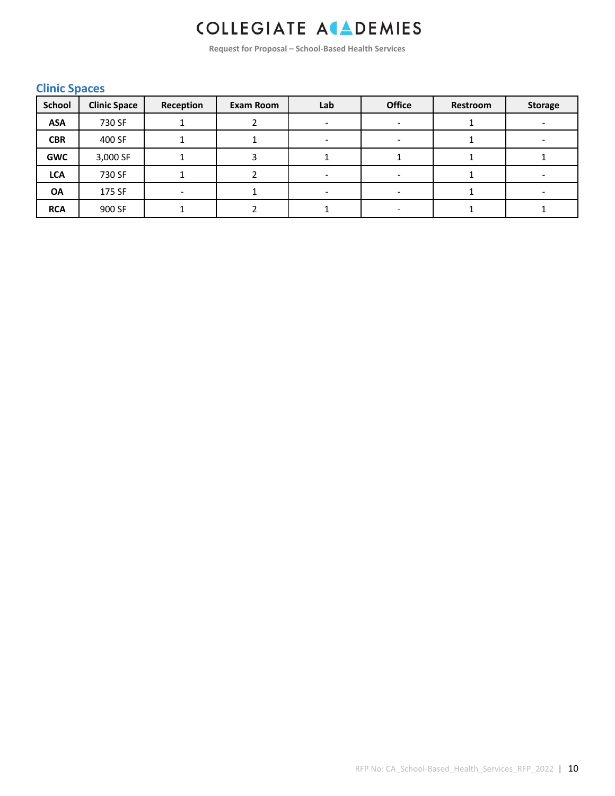**Request for Proposal – School-Based Health Services**

#### **Clinic Spaces**

| <b>School</b> | <b>Clinic Space</b> | Reception | Exam Room | Lab | <b>Office</b> | Restroom | <b>Storage</b> |
|---------------|---------------------|-----------|-----------|-----|---------------|----------|----------------|
| <b>ASA</b>    | 730 SF              |           |           |     |               |          |                |
| <b>CBR</b>    | 400 SF              |           |           |     |               |          |                |
| <b>GWC</b>    | 3,000 SF            |           |           |     |               |          |                |
| <b>LCA</b>    | 730 SF              |           |           |     |               |          |                |
| <b>OA</b>     | 175 SF              | -         |           |     |               |          |                |
| <b>RCA</b>    | 900 SF              |           |           |     |               |          |                |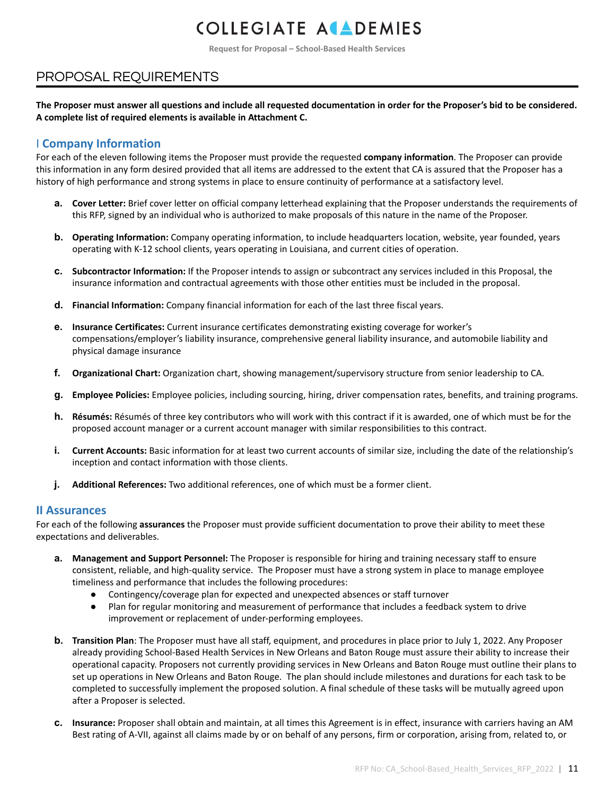**Request for Proposal – School-Based Health Services**

### PROPOSAL REQUIREMENTS

The Proposer must answer all questions and include all requested documentation in order for the Proposer's bid to be considered. **A complete list of required elements is available in Attachment C.**

#### I **Company Information**

For each of the eleven following items the Proposer must provide the requested **company information**. The Proposer can provide this information in any form desired provided that all items are addressed to the extent that CA is assured that the Proposer has a history of high performance and strong systems in place to ensure continuity of performance at a satisfactory level.

- **a. Cover Letter:** Brief cover letter on official company letterhead explaining that the Proposer understands the requirements of this RFP, signed by an individual who is authorized to make proposals of this nature in the name of the Proposer.
- **b. Operating Information:** Company operating information, to include headquarters location, website, year founded, years operating with K-12 school clients, years operating in Louisiana, and current cities of operation.
- **c. Subcontractor Information:** If the Proposer intends to assign or subcontract any services included in this Proposal, the insurance information and contractual agreements with those other entities must be included in the proposal.
- **d. Financial Information:** Company financial information for each of the last three fiscal years.
- **e. Insurance Certificates:** Current insurance certificates demonstrating existing coverage for worker's compensations/employer's liability insurance, comprehensive general liability insurance, and automobile liability and physical damage insurance
- **f. Organizational Chart:** Organization chart, showing management/supervisory structure from senior leadership to CA.
- **g. Employee Policies:** Employee policies, including sourcing, hiring, driver compensation rates, benefits, and training programs.
- **h. Résumés:** Résumés of three key contributors who will work with this contract if it is awarded, one of which must be for the proposed account manager or a current account manager with similar responsibilities to this contract.
- **i. Current Accounts:** Basic information for at least two current accounts of similar size, including the date of the relationship's inception and contact information with those clients.
- **j. Additional References:** Two additional references, one of which must be a former client.

#### **II Assurances**

For each of the following **assurances** the Proposer must provide sufficient documentation to prove their ability to meet these expectations and deliverables.

- **a. Management and Support Personnel:** The Proposer is responsible for hiring and training necessary staff to ensure consistent, reliable, and high-quality service. The Proposer must have a strong system in place to manage employee timeliness and performance that includes the following procedures:
	- Contingency/coverage plan for expected and unexpected absences or staff turnover
	- Plan for regular monitoring and measurement of performance that includes a feedback system to drive improvement or replacement of under-performing employees.
- **b. Transition Plan**: The Proposer must have all staff, equipment, and procedures in place prior to July 1, 2022. Any Proposer already providing School-Based Health Services in New Orleans and Baton Rouge must assure their ability to increase their operational capacity. Proposers not currently providing services in New Orleans and Baton Rouge must outline their plans to set up operations in New Orleans and Baton Rouge. The plan should include milestones and durations for each task to be completed to successfully implement the proposed solution. A final schedule of these tasks will be mutually agreed upon after a Proposer is selected.
- **c. Insurance:** Proposer shall obtain and maintain, at all times this Agreement is in effect, insurance with carriers having an AM Best rating of A-VII, against all claims made by or on behalf of any persons, firm or corporation, arising from, related to, or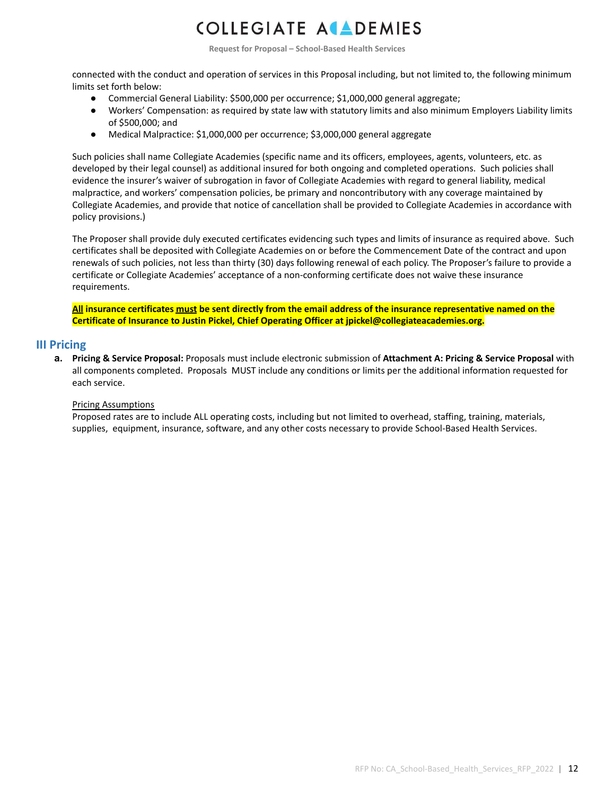**Request for Proposal – School-Based Health Services**

connected with the conduct and operation of services in this Proposal including, but not limited to, the following minimum limits set forth below:

- Commercial General Liability: \$500,000 per occurrence; \$1,000,000 general aggregate;
- Workers' Compensation: as required by state law with statutory limits and also minimum Employers Liability limits of \$500,000; and
- Medical Malpractice: \$1,000,000 per occurrence; \$3,000,000 general aggregate

Such policies shall name Collegiate Academies (specific name and its officers, employees, agents, volunteers, etc. as developed by their legal counsel) as additional insured for both ongoing and completed operations. Such policies shall evidence the insurer's waiver of subrogation in favor of Collegiate Academies with regard to general liability, medical malpractice, and workers' compensation policies, be primary and noncontributory with any coverage maintained by Collegiate Academies, and provide that notice of cancellation shall be provided to Collegiate Academies in accordance with policy provisions.)

The Proposer shall provide duly executed certificates evidencing such types and limits of insurance as required above. Such certificates shall be deposited with Collegiate Academies on or before the Commencement Date of the contract and upon renewals of such policies, not less than thirty (30) days following renewal of each policy. The Proposer's failure to provide a certificate or Collegiate Academies' acceptance of a non-conforming certificate does not waive these insurance requirements.

All insurance certificates must be sent directly from the email address of the insurance representative named on the **Certificate of Insurance to Justin Pickel, Chief Operating Officer at jpickel@collegiateacademies.org.**

#### **III Pricing**

**a. Pricing & Service Proposal:** Proposals must include electronic submission of **Attachment A: Pricing & Service Proposal** with all components completed. Proposals MUST include any conditions or limits per the additional information requested for each service.

#### Pricing Assumptions

Proposed rates are to include ALL operating costs, including but not limited to overhead, staffing, training, materials, supplies, equipment, insurance, software, and any other costs necessary to provide School-Based Health Services.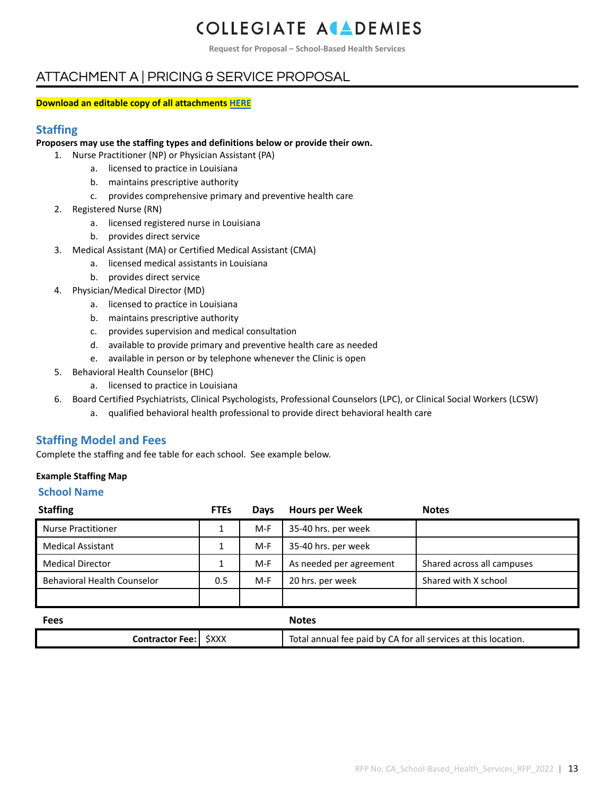**Request for Proposal – School-Based Health Services**

### ATTACHMENT A | PRICING & SERVICE PROPOSAL

#### **Download an editable copy of all attachments [HERE](https://www.collegiateacademies.org/resources/request-for-proposals)**

#### **Staffing**

#### **Proposers may use the staffing types and definitions below or provide their own.**

- 1. Nurse Practitioner (NP) or Physician Assistant (PA)
	- a. licensed to practice in Louisiana
	- b. maintains prescriptive authority
	- c. provides comprehensive primary and preventive health care
- 2. Registered Nurse (RN)
	- a. licensed registered nurse in Louisiana
	- b. provides direct service
- 3. Medical Assistant (MA) or Certified Medical Assistant (CMA)
	- a. licensed medical assistants in Louisiana
	- b. provides direct service
- 4. Physician/Medical Director (MD)
	- a. licensed to practice in Louisiana
	- b. maintains prescriptive authority
	- c. provides supervision and medical consultation
	- d. available to provide primary and preventive health care as needed
	- e. available in person or by telephone whenever the Clinic is open
- 5. Behavioral Health Counselor (BHC)
	- a. licensed to practice in Louisiana
- 6. Board Certified Psychiatrists, Clinical Psychologists, Professional Counselors (LPC), or Clinical Social Workers (LCSW)
	- a. qualified behavioral health professional to provide direct behavioral health care

#### **Staffing Model and Fees**

Complete the staffing and fee table for each school. See example below.

#### **Example Staffing Map**

#### **School Name**

| <b>Staffing</b>             | <b>FTEs</b> | <b>Days</b> | <b>Hours per Week</b>   | <b>Notes</b>               |
|-----------------------------|-------------|-------------|-------------------------|----------------------------|
| <b>Nurse Practitioner</b>   |             | $M-F$       | 35-40 hrs. per week     |                            |
| <b>Medical Assistant</b>    |             | M-F         | 35-40 hrs. per week     |                            |
| <b>Medical Director</b>     |             | M-F         | As needed per agreement | Shared across all campuses |
| Behavioral Health Counselor | 0.5         | $M-F$       | 20 hrs. per week        | Shared with X school       |
|                             |             |             |                         |                            |

| <b>Fees</b>                   | <b>Notes</b>                                                   |  |
|-------------------------------|----------------------------------------------------------------|--|
| <b>Contractor Fee:   SXXX</b> | Total annual fee paid by CA for all services at this location. |  |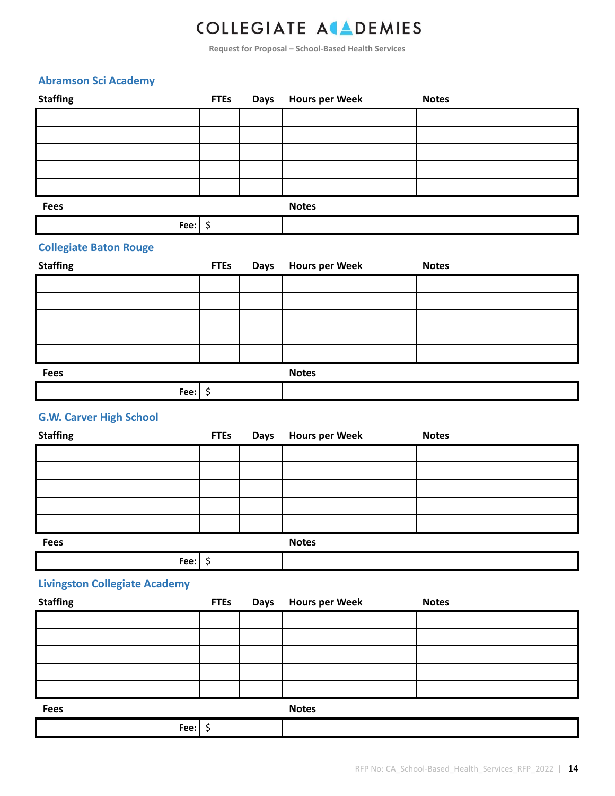**Request for Proposal – School-Based Health Services**

**Staffing FTEs Days Hours per Week Notes**

#### **Abramson Sci Academy**

| <b>Fees</b>                          |             |             | <b>Notes</b>          |              |  |  |
|--------------------------------------|-------------|-------------|-----------------------|--------------|--|--|
| Fee: $\frac{1}{2}$                   |             |             |                       |              |  |  |
| <b>Collegiate Baton Rouge</b>        |             |             |                       |              |  |  |
| <b>Staffing</b>                      | <b>FTEs</b> | Days        | <b>Hours per Week</b> | <b>Notes</b> |  |  |
|                                      |             |             |                       |              |  |  |
|                                      |             |             |                       |              |  |  |
|                                      |             |             |                       |              |  |  |
|                                      |             |             |                       |              |  |  |
|                                      |             |             |                       |              |  |  |
| <b>Fees</b>                          |             |             | <b>Notes</b>          |              |  |  |
| Fee: $\frac{1}{2}$                   |             |             |                       |              |  |  |
|                                      |             |             |                       |              |  |  |
| <b>G.W. Carver High School</b>       |             |             |                       |              |  |  |
| <b>Staffing</b>                      | <b>FTEs</b> | <b>Days</b> | <b>Hours per Week</b> | <b>Notes</b> |  |  |
|                                      |             |             |                       |              |  |  |
|                                      |             |             |                       |              |  |  |
|                                      |             |             |                       |              |  |  |
|                                      |             |             |                       |              |  |  |
|                                      |             |             |                       |              |  |  |
|                                      |             |             |                       |              |  |  |
| <b>Fees</b>                          |             |             | <b>Notes</b>          |              |  |  |
| Fee: $\frac{1}{2}$                   |             |             |                       |              |  |  |
| <b>Livingston Collegiate Academy</b> |             |             |                       |              |  |  |
| <b>Staffing</b>                      | <b>FTEs</b> | <b>Days</b> | <b>Hours per Week</b> | <b>Notes</b> |  |  |
|                                      |             |             |                       |              |  |  |
|                                      |             |             |                       |              |  |  |
|                                      |             |             |                       |              |  |  |
|                                      |             |             |                       |              |  |  |
|                                      |             |             |                       |              |  |  |
| Fees                                 |             |             | <b>Notes</b>          |              |  |  |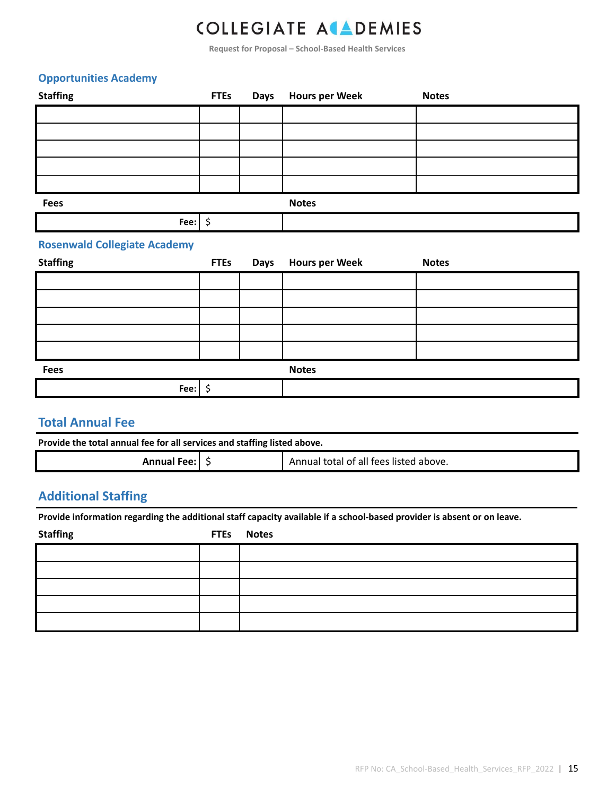**Request for Proposal – School-Based Health Services**

#### **Opportunities Academy**

| <b>Staffing</b>                     | <b>FTEs</b> | <b>Days</b> | <b>Hours per Week</b> | <b>Notes</b> |
|-------------------------------------|-------------|-------------|-----------------------|--------------|
|                                     |             |             |                       |              |
|                                     |             |             |                       |              |
|                                     |             |             |                       |              |
|                                     |             |             |                       |              |
|                                     |             |             |                       |              |
| <b>Fees</b>                         |             |             | <b>Notes</b>          |              |
| Fee: $\frac{1}{2}$                  |             |             |                       |              |
| <b>Rosenwald Collegiate Academy</b> |             |             |                       |              |
| <b>Staffing</b>                     | <b>FTEs</b> | <b>Days</b> | <b>Hours per Week</b> | <b>Notes</b> |

| <b>Fees</b> |  | <b>Notes</b> |  |
|-------------|--|--------------|--|

| Fee. |  |
|------|--|
|      |  |

### **Total Annual Fee**

| Provide the total annual fee for all services and staffing listed above. |  |                                        |  |  |  |
|--------------------------------------------------------------------------|--|----------------------------------------|--|--|--|
| Annual Fee: $\frac{1}{2}$                                                |  | Annual total of all fees listed above. |  |  |  |

### **Additional Staffing**

Provide information regarding the additional staff capacity available if a school-based provider is absent or on leave.

| <b>Staffing</b> | FTEs Notes |
|-----------------|------------|
|                 |            |
|                 |            |
|                 |            |
|                 |            |
|                 |            |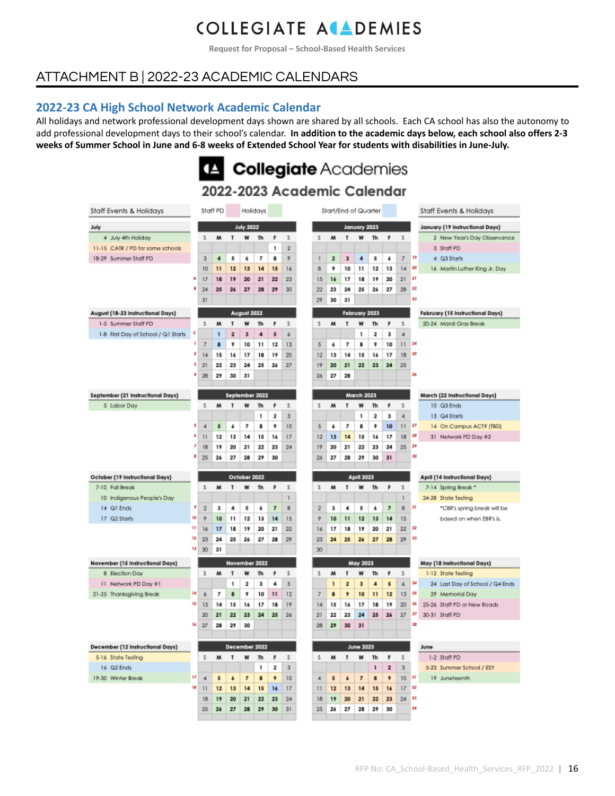**Request for Proposal – School-Based Health Services**

### ATTACHMENT B | 2022-23 ACADEMIC CALENDARS

#### **2022-23 CA High School Network Academic Calendar**

All holidays and network professional development days shown are shared by all schools. Each CA school has also the autonomy to add professional development days to their school's calendar. **In addition to the academic days below, each school also offers 2-3** weeks of Summer School in June and 6-8 weeks of Extended School Year for students with disabilities in June-July.

### LA Collegiate Academies

|                                     |         |                 |          |                  |                  |                |                          |                | zuzz-zuzo academic Calendar |                         |                         |                      |              |                         |                 |      |                                  |
|-------------------------------------|---------|-----------------|----------|------------------|------------------|----------------|--------------------------|----------------|-----------------------------|-------------------------|-------------------------|----------------------|--------------|-------------------------|-----------------|------|----------------------------------|
| Staff Events & Holidays             |         |                 | Staff PD |                  |                  | Holidays       |                          |                |                             | Start/End of Quarter    |                         |                      |              |                         |                 |      | Staff Events & Holidays          |
| July                                |         |                 |          |                  | <b>July 2022</b> |                |                          |                |                             |                         |                         | January 2023         |              |                         |                 |      | January (19 Instructional Days)  |
| 4 July 4th Holiday                  |         | s               | w        | т                | w                | Th             | F                        | \$             | s                           | M                       | т                       | W                    | Th           | F                       | s.              |      | 2 New Year's Day Observance      |
| 11-15 CATR / PD for some schools    |         |                 |          |                  |                  |                | 1                        | $\overline{2}$ |                             |                         |                         |                      |              |                         |                 |      | 3 Staff PD                       |
| 18-29 Summer Staff PD               |         | 3               | 4        | 5                | s                | 7              | 8                        | 9              | ı                           | $\overline{\mathbf{2}}$ | 3                       | $\blacktriangleleft$ | 5            | s                       | $\overline{r}$  | 19   | 4 Q3 Starts                      |
|                                     |         | 10              | 11       | 12               | 13               | 14             | 15                       | 16             | 8                           | 9                       | 10                      | 11                   | 12           | 13                      | 14              | 20   | 16 Martin Luther King Jr. Day    |
|                                     | A       | 17              | 18       | 19               | 20               | 21             | 22                       | 23             | 15                          | 16                      | 17                      | 18                   | 19           | 20                      | 21              | 21   |                                  |
|                                     |         | 24              | 25       | 26               | 27               | 28             | 29                       | 30             | 22                          | 23                      | 24                      | 25                   | 26           | 27                      | 28              | n    |                                  |
|                                     |         | 31              |          |                  |                  |                |                          |                | 29                          | 30                      | 31                      |                      |              |                         |                 | 28   |                                  |
| August (18-23 Instructional Days)   |         |                 |          |                  | August 2022      |                |                          |                |                             |                         |                         | February 2023        |              |                         |                 |      | February (15 Instructional Days) |
| 1-5 Summer Staff PD                 |         | \$              | м        | т                | w                | Th             | F                        | s.             | Š.                          | M                       | T                       | W                    | Th           | F                       | \$              |      | 20-24 Mardi Gras Break           |
| 1-8 First Day of School / Q1 Starts | ¢       |                 | 1        | $\overline{2}$   | з                | 4              | 5                        | 6              |                             |                         |                         | 1                    | 2            | з                       | 4               |      |                                  |
|                                     | Ĵ       | 7               | 8        | 9                | 10               | 11             | 12                       | 13             | 5                           | ő                       | 7                       | 8                    | ş            | 10                      | $\overline{11}$ | 24   |                                  |
|                                     | 2       | 14              | 15       | 16               | 17               | 18             | 19                       | 20             | 12                          | 13                      | 14                      | 15                   | 16           | 17                      | 18              | 25   |                                  |
|                                     | з       | 21              | 22       | 23               | 24               | 25             | 26                       | 27             | 19                          | 20                      | 21                      | 22                   | 23           | 24                      | 25              |      |                                  |
|                                     |         | 28              | 29       | 30               | 31               |                |                          |                | 26                          | 27                      | 28                      |                      |              |                         |                 | 26   |                                  |
| September (21 Instructional Days)   |         |                 |          |                  |                  | September 2022 |                          |                |                             |                         |                         | <b>March 2023</b>    |              |                         |                 |      | March (22 Instructional Days)    |
| 5 Labor Day                         |         | \$              | м        | т                | w                | Th             | F                        | s              | s                           | M                       | T                       | w                    | Th           | F                       | \$              |      | 10 Q3 Ends                       |
|                                     |         |                 |          |                  |                  | 1              | 2                        | 3              |                             |                         |                         | 1                    | 2            | 3                       | 4               |      | 13 Q4 Starts                     |
|                                     | 5       | 4               | 5        | 6                | 7                | 8              | ş                        | 10             | 5                           | 6                       | 7                       | 8                    | 9            | 10                      | 11              | 27   | 14 On Campus ACT? (TBD)          |
|                                     |         | 11              | 12       | 13               | 14               | 15             | 16                       | 17             | 12                          | 13                      | 14                      | 15                   | 16           | 17                      | 18              | 28   | 31 Network PD Day #2             |
|                                     | y       | 18              | 19       | 20               | 21               | 22             | 23                       | 24             | 19                          | 20                      | 21                      | 22                   | 23           | 24                      | 25              | 29   |                                  |
|                                     | ι       | 25              | 26       | 27               | 28               | 29             | 30                       |                | 26                          | 27                      | 28                      | 29                   | 30           | 31                      |                 | 30   |                                  |
|                                     |         |                 |          |                  |                  |                |                          |                |                             |                         |                         |                      |              |                         |                 |      |                                  |
| October (19 Instructional Days)     |         |                 |          |                  | October 2022     |                |                          |                |                             |                         |                         | <b>April 2023</b>    |              |                         |                 |      | April (14 Instructional Days)    |
| 7-10 Fall Break                     |         | \$              | M        | т                | w                | Th             | F                        | Š.             | Š.                          | M                       | T                       | w                    | Th           | F                       | Š.              |      | 7-14 Spring Break *              |
| 10 Indigenous People's Day          |         |                 |          |                  |                  |                |                          | 1              |                             |                         |                         |                      |              |                         | 1               |      | 24-28 State Testing              |
| 14 Q1 Ends                          | 9       | $\overline{2}$  | 3        | 4                | 5                | 6              | $\overline{\phantom{a}}$ | 8              | $\overline{2}$              | 3                       | 4                       | 5                    | 4            | 7                       | 8               | 31   | *C8R's spring break will be      |
| 17 G2 Starts                        | 30      | $\overline{2}$  | 10       | 11               | 12               | 13             | 14                       | 15             | 9                           | 10                      | 11                      | 12                   | 13           | 14                      | 15              |      | based on when EBR's is.          |
|                                     | 11      | 16              | 17       | 18               | 19               | 20             | 21                       | 22             | 16                          | 17                      | 18                      | 19                   | 20           | 21                      | 22              | 32   |                                  |
|                                     | 12<br>и | 23              | 24       | 25               | 26               | 27             | 28                       | 29             | 23                          | 24                      | 25                      | 26                   | 27           | 28                      | 29              | 喆    |                                  |
|                                     |         | 30              | 31       |                  |                  |                |                          |                | 30                          |                         |                         |                      |              |                         |                 |      |                                  |
| November (15 Instructional Days)    |         |                 |          |                  |                  | November 2022  |                          |                |                             |                         |                         | <b>May 2023</b>      |              |                         |                 |      | May (18 Instructional Days)      |
| 8 Election Day                      |         | s               | M        | т                | w                | Th             | F                        | s.             | s                           | M                       | т                       | w                    | Th           | F                       | Š.              |      | 1-12 State Testing               |
| 11 Network PD Day #1                |         |                 |          | 1                | 2                | з              | 4                        | 5              |                             | $\mathbf{1}$            | $\overline{\mathbf{z}}$ | 3                    | 4            | 5                       | 6               | м    | 24 Last Day of School / Q4 Ends  |
| 21-25 Thanksgiving Break            | 14      | ó               | 7        | 8                | 9                | 10             | 11                       | 12             | 7                           | 8                       | 9                       | 10                   | $\mathbf{1}$ | 12                      | 13              | 35   | 29 Memorial Day                  |
|                                     | 35      | 13              | 14       | 15               | 16               | 17             | 18                       | 19             | 14                          | 15                      | 14                      | 17                   | 18           | 19                      | 20              | м    | 25-26 Staff PD or New Roads      |
|                                     |         | 20              | 21       | 22               | 23               | 24             | 25                       | 26             | 21                          | 22                      | 23                      | 24                   | 25           | 26                      | 27              | 37   | 30-31 Staff PD                   |
|                                     | 36      | 27              | 28       | 29               | 30               |                |                          |                | 28                          | 29                      | 30                      | 31                   |              |                         |                 | N    |                                  |
| December (12 Instructional Days)    |         |                 |          |                  |                  | December 2022  |                          |                |                             |                         |                         | <b>June 2023</b>     |              |                         |                 |      | June                             |
| 5-16 State Testing                  |         | \$              | w        | т                | w                | Th             | F                        | \$             | s                           | м                       | т                       | w                    | Th           | ۴                       | 5               |      | 1-2 Staff PD                     |
| 16 Q2 Ends                          |         |                 |          |                  |                  | 1              | 2                        | 3              |                             |                         |                         |                      | 1            | $\overline{\mathbf{z}}$ | 3               |      | 5-23 Summer School / ESY         |
|                                     |         |                 |          |                  |                  |                |                          |                |                             |                         |                         |                      |              |                         |                 |      |                                  |
| 19-30 Winter Break                  | 17      | 4               | 5        | $\pmb{\epsilon}$ | $\overline{ }$   | 8              | ,                        | 10             | 4                           | 5                       | $\pmb{\epsilon}$        | $\overline{z}$       | 8            | 9                       | 10              | - 51 | 19 Juneteenth                    |
|                                     | и       | $\overline{11}$ | 12       | 13               | 14               | 15             | 16                       | 17             | П                           | 12                      | 13                      | 14                   | 15           | 16                      | 17              | - 12 |                                  |
|                                     |         | 18              | 19       | 20               | 21               | 22             | 23                       | 24             | 18                          | 19                      | 20                      | 21                   | 22           | 23                      | 24              | 材    |                                  |
|                                     |         | 25              | 26       | 27               | 28               | 29             | 30                       | 31             | 25                          | 26                      | 27                      | 28                   | 29           | 30                      |                 | 54   |                                  |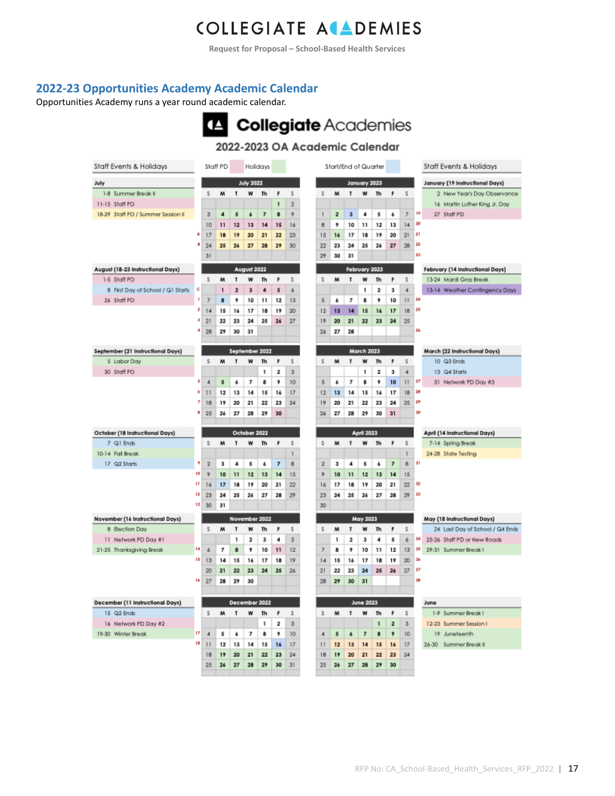**Request for Proposal – School-Based Health Services**

#### **2022-23 Opportunities Academy Academic Calendar**

Opportunities Academy runs a year round academic calendar.



#### 2022-2023 OA Academic Calendar

| Staff Events & Holidays            |    |              | Staff PD |                |                         | Holidays        |                         |                |                         | Start/End of Quarter |                         |                          |                |                |                          |    | Staff Events & Holidays          |
|------------------------------------|----|--------------|----------|----------------|-------------------------|-----------------|-------------------------|----------------|-------------------------|----------------------|-------------------------|--------------------------|----------------|----------------|--------------------------|----|----------------------------------|
| July                               |    |              |          |                | <b>July 2022</b>        |                 |                         |                |                         |                      |                         | January 2023             |                |                |                          |    | January (19 Instructional Days)  |
| 1-8 Summer Break II                |    | S            | M        | T              | W                       | Th              | F                       | \$             | 5                       | м                    | T                       | w                        | Th             | F              | s                        |    | 2 New Year's Day Observance      |
| 11-15 Staff PD                     |    |              |          |                |                         |                 | ī                       | $\overline{2}$ |                         |                      |                         |                          |                |                |                          |    | 16 Martin Luther King Jr. Day    |
| 18-29 Staff PD / Summer Session II |    | 3            | 4        | 5              | 6                       | $\overline{r}$  | 8                       | 9              | $\mathbf{1}$            | $\overline{2}$       | $\mathbf{a}$            | 4                        | 5              | 6              | $\overline{z}$           | 19 | 27 Staff PD                      |
|                                    |    | 10           | 11       | 12             | 13                      | 14              | 15                      | 16             | ġ.                      | 9                    | 10                      | 11                       | 12             | 13             | 14                       | ŻÚ |                                  |
|                                    | A  | 17           | 18       | 19             | 20                      | 21              | 22                      | 23             | 15                      | 16                   | 17                      | 18                       | 19             | 20             | 21                       | ž1 |                                  |
|                                    | ۵  | 24           | 25       | 24             | 27                      | 28              | 29                      | 30             | 22                      | 23                   | 24                      | 25                       | 24             | 27             | 28                       | 22 |                                  |
|                                    |    | 31           |          |                |                         |                 |                         |                | 29                      | 30                   | 31                      |                          |                |                |                          | 23 |                                  |
| August (18-23 Instructional Days)  |    |              |          |                | August 2022             |                 |                         |                |                         |                      |                         | February 2023            |                |                |                          |    | February (14 Instructional Days) |
| 1-5 Staff PD                       |    | S            | M        | T              | W                       | Th              | F                       | \$             | $\overline{\mathbf{S}}$ | м                    | T                       | W                        | Th             | F              | $\overline{\mathbf{S}}$  |    | 13-24 Mardi Gras Break           |
| 8 First Day of School / Q1 Starts  | ¢  |              | ١        | $\overline{2}$ | $\overline{\mathbf{3}}$ | 4               | 5                       | 6              |                         |                      |                         | ٦                        | $\overline{2}$ | 3              | 4                        |    | 13-14 Weather Contingency Days   |
| 26 Staff PD                        | f, | 7            | 8        | ş              | 10                      | 11              | 12                      | 13             | 5                       | 6                    | 7                       | 8                        | 9              | 10             | 11                       | 24 |                                  |
|                                    | ż  | 14           | 15       | 16             | 17                      | 18              | 19                      | 20             | 12                      | 13                   | 14                      | 15                       | 16             | 17             | 18                       | 28 |                                  |
|                                    | 3  | 21           | 22       | 23             | 24                      | 25              | 26                      | 27             | 19                      | 20                   | 21                      | 22                       | 23             | 24             | 25                       |    |                                  |
|                                    |    | 28           | 29       | 30             | 31                      |                 |                         |                | 26                      | 27                   | 28                      |                          |                |                |                          | 24 |                                  |
|                                    |    |              |          |                |                         |                 |                         |                |                         |                      |                         |                          |                |                |                          |    |                                  |
| September (21 Instructional Days)  |    |              |          |                |                         | September 2022  |                         |                |                         |                      |                         | <b>March 2023</b>        |                |                |                          |    | March (22 Instructional Days)    |
| 5 Labor Day                        |    | Š            | M        | T              | w                       | Th              | F                       | Š.             | Š.                      | м                    | T                       | w                        | Th             | F              | Š                        |    | 10 Q3 Ends                       |
| 30 Staff PD                        |    |              |          |                |                         | 1               | 2                       | з              |                         |                      |                         | 1                        | 2              | з              | 4                        |    | 13 Q4 Starts                     |
|                                    | ×  | 4            | 5        | 4              | 7                       | 8               | 9                       | 10             | 5                       | 4                    | 7                       | 8                        | 9              | 10             | $\mathbf{1}$             | 27 | 31 Network PD Day #3             |
|                                    | ð  | $\mathbf{1}$ | 12       | 13             | 14                      | 15              | 16                      | 17             | 12                      | 13                   | 14                      | 15                       | 16             | 17             | 18                       | 28 |                                  |
|                                    | 7  | 18           | 19       | 20             | 21                      | $\overline{22}$ | 23                      | 24             | 19                      | 20                   | 21                      | 22                       | 23             | 24             | 25                       | 29 |                                  |
|                                    |    | 25           | 26       | 27             | 28                      | 29              | 30                      |                | 26                      | 27                   | 28                      | 29                       | 30             | 31             |                          | 30 |                                  |
|                                    |    |              |          |                |                         |                 |                         |                |                         |                      |                         |                          |                |                |                          |    |                                  |
|                                    |    |              |          |                |                         |                 |                         |                |                         |                      |                         |                          |                |                |                          |    |                                  |
| October (18 Instructional Days)    |    |              |          |                | October 2022            |                 |                         |                |                         |                      |                         | <b>April 2023</b>        |                |                |                          |    | April (14 Instructional Days)    |
| 7 Q1 Ends                          |    | s            | M        | T              | w                       | Th              | F                       | \$             | 5                       | м                    | T                       | W                        | Th             | F              | S                        |    | 7-14 Spring Break                |
| 10-14 Fall Break                   |    |              |          |                |                         |                 |                         | ī              |                         |                      |                         |                          |                |                | ٦                        |    | 24-28 State Testing              |
| 17 Q2 Starts                       | g  | $\bar{2}$    | з        | 4              | 5                       | £               | $\overline{7}$          | 8              | $\overline{2}$          | з                    | 4                       | 5                        | 6              | $\overline{7}$ | 8                        | п  |                                  |
|                                    | 10 | 9            | 10       | 11             | 12                      | 13              | 14                      | 15             | 9                       | 10                   | 11                      | 12                       | 13             | 14             | 15                       |    |                                  |
|                                    | π  | 16           | 17       | 18             | 19                      | 20              | 21                      | 22             | 16                      | 17                   | 18                      | 19                       | 20             | 21             | 22                       | Ħ  |                                  |
|                                    | 12 | 23           | 24       | 25             | 26                      | 27              | 28                      | 29             | 23                      | 24                   | 25                      | 26                       | 27             | 28             | 29                       | 22 |                                  |
|                                    | ы  | 30           | 31       |                |                         |                 |                         |                | 30                      |                      |                         |                          |                |                |                          |    |                                  |
| November (16 Instructional Days)   |    |              |          |                |                         | November 2022   |                         |                |                         |                      |                         | May 2023                 |                |                |                          |    | May (18 Instructional Days)      |
| 8 Bection Day                      |    | s            | M        | T              | w                       | Th              | F                       | \$             | 5                       | м                    | т                       | w                        | Th             | F              | s                        |    | 24 Last Day of School / Q4 Ends  |
| 11 Network PD Day #1               |    |              |          | 1              | 2                       | 3               | 4                       | 5              |                         | ١                    | $\overline{\mathbf{2}}$ | 3                        | 4              | 5              | ó                        | 34 | 25-26 Staff PD or New Roads      |
| 21-25 Thanksgiving Break           | м  | 6            | 7        | 8              | 9                       | 10              | 11                      | 12             | 7                       | 8                    | 9                       | 10                       | 11             | 12             | 13                       | 15 | 29-31 Summer Break I             |
|                                    | 15 | 13           | 14       | 15             | 16                      | 17              | 18                      | 19             | 14                      | 15                   | 16                      | 17                       | 18             | 19             | 20                       | 36 |                                  |
|                                    |    | 20           | 21       | 22             | 23                      | 24              | 25                      | 26             | 21                      | 22                   | 23                      | 24                       | 25             | 26             | $\overline{\mathcal{D}}$ | ž3 |                                  |
|                                    | 16 | 27           | 28       | 29             | 30                      |                 |                         |                | 28                      | 29                   | 30                      | 31                       |                |                |                          | 38 |                                  |
|                                    |    |              |          |                |                         |                 |                         |                |                         |                      |                         |                          |                |                |                          |    |                                  |
| December (11 Instructional Days)   |    |              |          |                |                         | December 2022   |                         |                |                         |                      |                         | June 2023                |                |                |                          |    | June                             |
| 15 Q2 Ends                         |    | Ŝ            | M        | $\mathbf{r}$   | w                       | Th              | F                       | Š.             | s                       | м                    | T                       | w                        | Th             | F              | Ś                        |    | 1-9 Summer Break I               |
| 16 Network PD Day #2               |    |              |          |                |                         | 1               | $\overline{\mathbf{2}}$ | 3              |                         |                      |                         |                          | 1              | $\overline{2}$ | 3                        |    | 12-23 Summer Session I           |
| 19-30 Winter Break                 | 17 | 4            | 5        | 4              | 7                       | 含               | 9                       | 10             | 4                       | 5                    | 4                       | $\overline{\phantom{a}}$ | 8              | 9              | 10                       |    | 19 Juneteenth                    |
|                                    | 18 | $\mathbf{1}$ | 12       | 13             | 14                      | 15              | 16                      | 17             | 11                      | 12                   | 13                      | 14                       | 15             | 16             | 17                       |    | 26-30 Summer Break II            |
|                                    |    | 18           | 19       | 20             | 21                      | 22              | 23                      | 24             | 18                      | 19                   | 20                      | 21                       | 22             | 23             | $\overline{24}$          |    |                                  |
|                                    |    | 25           | 26       | 27             | 28                      | 29              | 30                      | 31             | 25                      | 24                   | $\overline{\mathbf{z}}$ | 28                       | 29             | 30             |                          |    |                                  |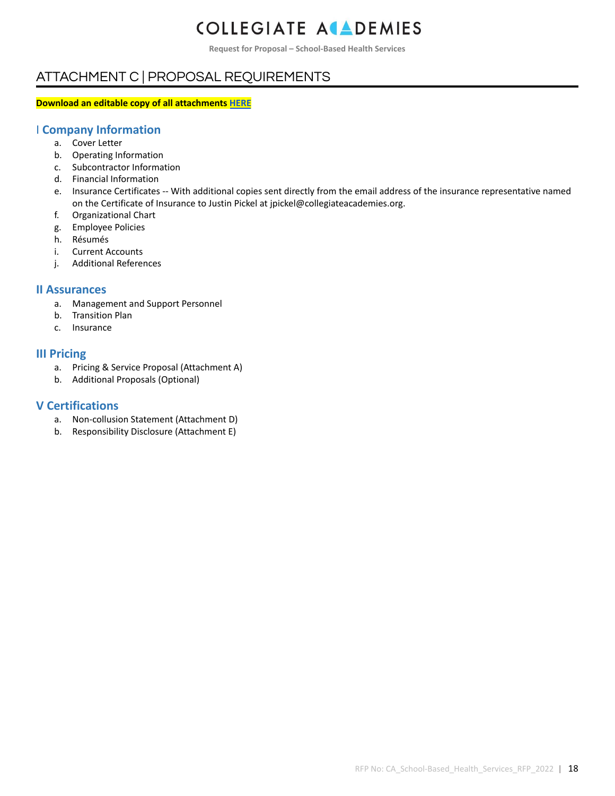**Request for Proposal – School-Based Health Services**

### ATTACHMENT C | PROPOSAL REQUIREMENTS

#### **Download an editable copy of all attachments [HERE](https://www.collegiateacademies.org/resources/request-for-proposals)**

#### I **Company Information**

- a. Cover Letter
- b. Operating Information
- c. Subcontractor Information
- d. Financial Information
- e. Insurance Certificates -- With additional copies sent directly from the email address of the insurance representative named on the Certificate of Insurance to Justin Pickel at jpickel@collegiateacademies.org.
- f. Organizational Chart
- g. Employee Policies
- h. Résumés
- i. Current Accounts
- j. Additional References

#### **II Assurances**

- a. Management and Support Personnel
- b. Transition Plan
- c. Insurance

#### **III Pricing**

- a. Pricing & Service Proposal (Attachment A)
- b. Additional Proposals (Optional)

#### **V Certifications**

- a. Non-collusion Statement (Attachment D)
- b. Responsibility Disclosure (Attachment E)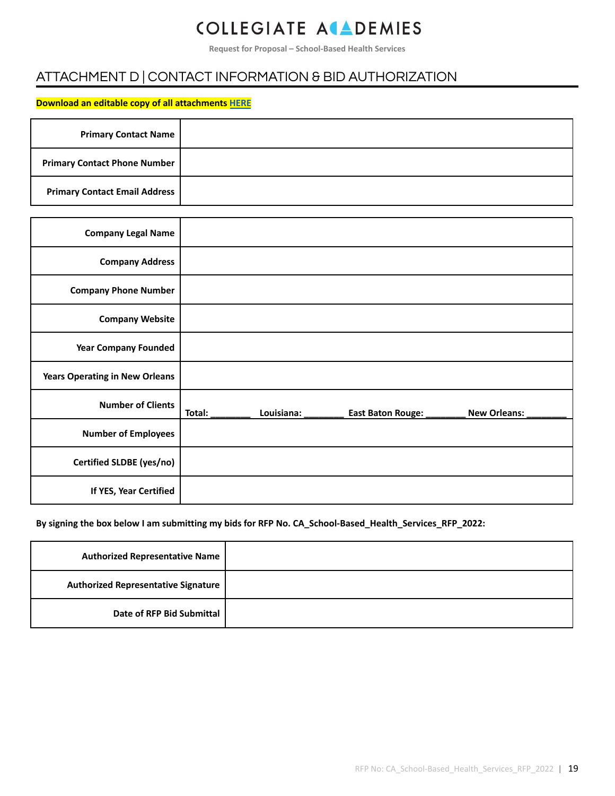**Request for Proposal – School-Based Health Services**

### ATTACHMENT D | CONTACT INFORMATION & BID AUTHORIZATION

#### **Download an editable copy of all attachments [HERE](https://www.collegiateacademies.org/resources/request-for-proposals)**

| <b>Primary Contact Name</b>          |  |
|--------------------------------------|--|
| <b>Primary Contact Phone Number</b>  |  |
| <b>Primary Contact Email Address</b> |  |

| <b>Company Legal Name</b>             |        |            |                          |                     |
|---------------------------------------|--------|------------|--------------------------|---------------------|
| <b>Company Address</b>                |        |            |                          |                     |
| <b>Company Phone Number</b>           |        |            |                          |                     |
| <b>Company Website</b>                |        |            |                          |                     |
| <b>Year Company Founded</b>           |        |            |                          |                     |
| <b>Years Operating in New Orleans</b> |        |            |                          |                     |
| <b>Number of Clients</b>              | Total: | Louisiana: | <b>East Baton Rouge:</b> | <b>New Orleans:</b> |
| <b>Number of Employees</b>            |        |            |                          |                     |
| Certified SLDBE (yes/no)              |        |            |                          |                     |
| If YES, Year Certified                |        |            |                          |                     |

#### **By signing the box below I am submitting my bids for RFP No. CA\_School-Based\_Health\_Services\_RFP\_2022:**

| <b>Authorized Representative Name</b>      |  |
|--------------------------------------------|--|
| <b>Authorized Representative Signature</b> |  |
| Date of RFP Bid Submittal                  |  |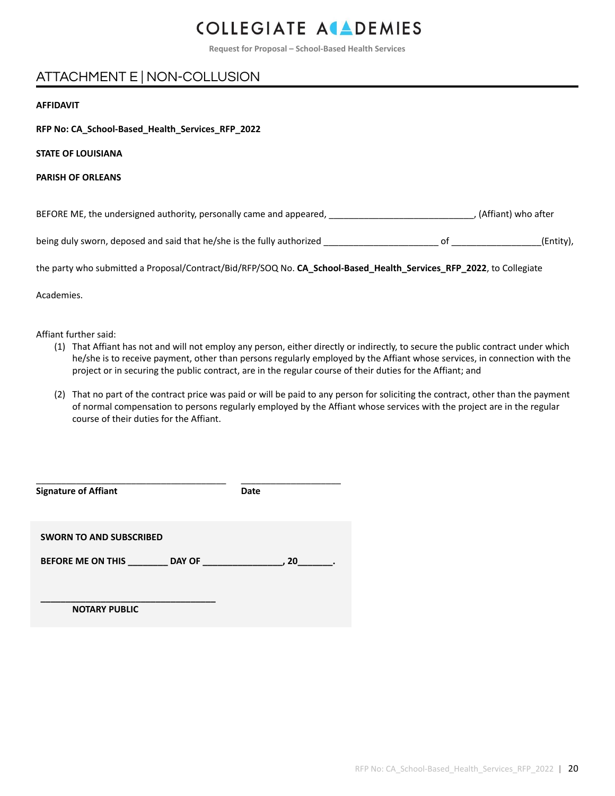**Request for Proposal – School-Based Health Services**

### ATTACHMENT E | NON-COLLUSION

#### **AFFIDAVIT**

**RFP No: CA\_School-Based\_Health\_Services\_RFP\_2022**

**STATE OF LOUISIANA**

**PARISH OF ORLEANS**

BEFORE ME, the undersigned authority, personally came and appeared, \_\_\_\_\_\_\_\_\_\_\_\_\_\_\_\_\_\_\_\_\_\_\_\_\_\_\_\_\_, (Affiant) who after

being duly sworn, deposed and said that he/she is the fully authorized \_\_\_\_\_\_\_\_\_\_\_\_\_\_\_\_\_\_\_\_\_\_\_ of \_\_\_\_\_\_\_\_\_\_\_\_\_\_\_\_\_\_(Entity),

the party who submitted a Proposal/Contract/Bid/RFP/SOQ No. **CA\_School-Based\_Health\_Services\_RFP\_2022**, to Collegiate

Academies.

Affiant further said:

- (1) That Affiant has not and will not employ any person, either directly or indirectly, to secure the public contract under which he/she is to receive payment, other than persons regularly employed by the Affiant whose services, in connection with the project or in securing the public contract, are in the regular course of their duties for the Affiant; and
- (2) That no part of the contract price was paid or will be paid to any person for soliciting the contract, other than the payment of normal compensation to persons regularly employed by the Affiant whose services with the project are in the regular course of their duties for the Affiant.

| <b>Signature of Affiant</b>                         | Date |
|-----------------------------------------------------|------|
| <b>SWORN TO AND SUBSCRIBED</b><br>BEFORE ME ON THIS | 20   |
| <b>NOTARY PUBLIC</b>                                |      |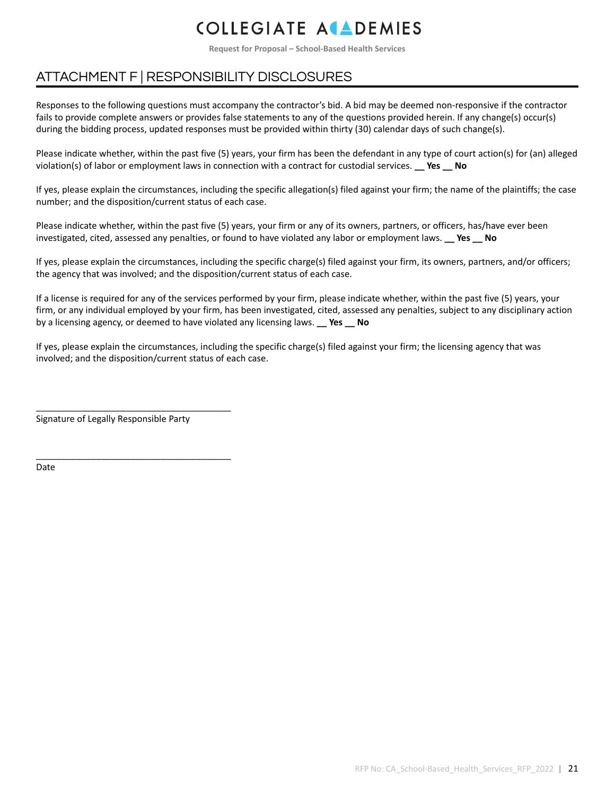**Request for Proposal – School-Based Health Services**

### ATTACHMENT F | RESPONSIBILITY DISCLOSURES

Responses to the following questions must accompany the contractor's bid. A bid may be deemed non-responsive if the contractor fails to provide complete answers or provides false statements to any of the questions provided herein. If any change(s) occur(s) during the bidding process, updated responses must be provided within thirty (30) calendar days of such change(s).

Please indicate whether, within the past five (5) years, your firm has been the defendant in any type of court action(s) for (an) alleged violation(s) of labor or employment laws in connection with a contract for custodial services. **\_\_ Yes \_\_ No**

If yes, please explain the circumstances, including the specific allegation(s) filed against your firm; the name of the plaintiffs; the case number; and the disposition/current status of each case.

Please indicate whether, within the past five (5) years, your firm or any of its owners, partners, or officers, has/have ever been investigated, cited, assessed any penalties, or found to have violated any labor or employment laws. **\_\_ Yes \_\_ No**

If yes, please explain the circumstances, including the specific charge(s) filed against your firm, its owners, partners, and/or officers; the agency that was involved; and the disposition/current status of each case.

If a license is required for any of the services performed by your firm, please indicate whether, within the past five (5) years, your firm, or any individual employed by your firm, has been investigated, cited, assessed any penalties, subject to any disciplinary action by a licensing agency, or deemed to have violated any licensing laws. **\_\_ Yes \_\_ No**

If yes, please explain the circumstances, including the specific charge(s) filed against your firm; the licensing agency that was involved; and the disposition/current status of each case.

Signature of Legally Responsible Party

\_\_\_\_\_\_\_\_\_\_\_\_\_\_\_\_\_\_\_\_\_\_\_\_\_\_\_\_\_\_\_\_\_\_\_\_\_\_\_

\_\_\_\_\_\_\_\_\_\_\_\_\_\_\_\_\_\_\_\_\_\_\_\_\_\_\_\_\_\_\_\_\_\_\_\_\_\_\_

Date